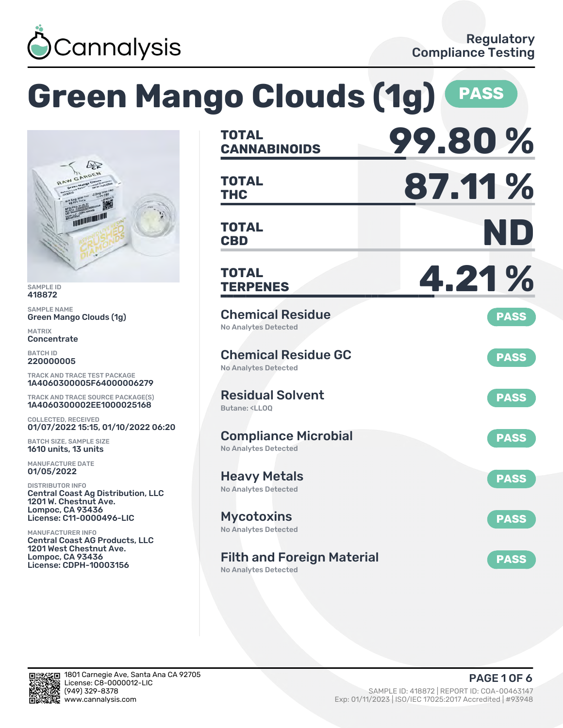

|                                                                                                                                                                 | <b>Green Mango Clouds (1g)</b>                                               | <b>PASS</b> |
|-----------------------------------------------------------------------------------------------------------------------------------------------------------------|------------------------------------------------------------------------------|-------------|
|                                                                                                                                                                 | <b>TOTAL</b><br><b>CANNABINOIDS</b>                                          | 99.80%      |
|                                                                                                                                                                 | <b>TOTAL</b><br><b>THC</b>                                                   | 87.11%      |
|                                                                                                                                                                 | <b>TOTAL</b><br><b>CBD</b>                                                   | ND          |
| <b>SAMPLE ID</b><br>418872                                                                                                                                      | <b>TOTAL</b><br><b>TERPENES</b>                                              | 4.21%       |
| <b>SAMPLE NAME</b><br><b>Green Mango Clouds (1g)</b><br><b>MATRIX</b><br>Concentrate                                                                            | <b>Chemical Residue</b><br><b>No Analytes Detected</b>                       | <b>PASS</b> |
| <b>BATCH ID</b><br>220000005<br><b>TRACK AND TRACE TEST PACKAGE</b>                                                                                             | <b>Chemical Residue GC</b><br><b>No Analytes Detected</b>                    | <b>PASS</b> |
| 1A4060300005F64000006279<br>TRACK AND TRACE SOURCE PACKAGE(S)<br>1A4060300002EE1000025168                                                                       | <b>Residual Solvent</b><br>Butane: <ll00< td=""><td><b>PASS</b></td></ll00<> | <b>PASS</b> |
| <b>COLLECTED, RECEIVED</b><br>01/07/2022 15:15, 01/10/2022 06:20<br><b>BATCH SIZE, SAMPLE SIZE</b><br>1610 units, 13 units                                      | <b>Compliance Microbial</b><br><b>No Analytes Detected</b>                   | <b>PASS</b> |
| <b>MANUFACTURE DATE</b><br>01/05/2022<br><b>DISTRIBUTOR INFO</b><br><b>Central Coast Ag Distribution, LLC</b>                                                   | <b>Heavy Metals</b><br><b>No Analytes Detected</b>                           | <b>PASS</b> |
| 1201 W. Chestnut Ave.<br><b>Lompoc, CA 93436</b><br>License: C11-0000496-LIC                                                                                    | <b>Mycotoxins</b><br><b>No Analytes Detected</b>                             | <b>PASS</b> |
| <b>MANUFACTURER INFO</b><br><b>Central Coast AG Products, LLC</b><br><b>1201 West Chestnut Ave.</b><br><b>Lompoc, CA 93436</b><br><b>License: CDPH-10003156</b> | <b>Filth and Foreign Material</b><br><b>No Analytes Detected</b>             | <b>PASS</b> |

in.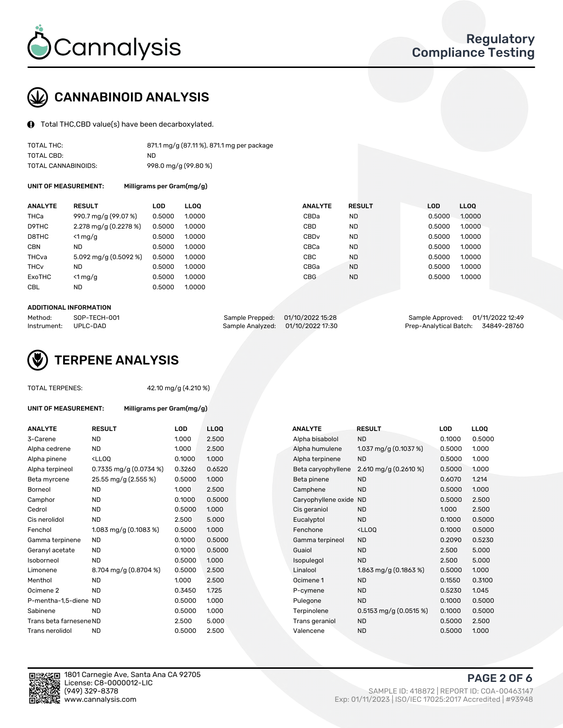

## CANNABINOID ANALYSIS

Total THC,CBD value(s) have been decarboxylated.

| TOTAL THC:          | 871.1 mg/g (87.11%), 871.1 mg per package |
|---------------------|-------------------------------------------|
| TOTAL CBD:          | ND                                        |
| TOTAL CANNABINOIDS: | 998.0 mg/g (99.80 %)                      |

UNIT OF MEASUREMENT: Milligrams per Gram(mg/g)

| <b>ANALYTE</b>         | <b>RESULT</b>                      | LOD    | <b>LLOO</b> | <b>ANALYTE</b>   | <b>RESULT</b> | <b>LOD</b> | <b>LLOO</b> |
|------------------------|------------------------------------|--------|-------------|------------------|---------------|------------|-------------|
| <b>THCa</b>            | 990.7 mg/g (99.07 %)               | 0.5000 | 1.0000      | CBDa             | <b>ND</b>     | 0.5000     | 1.0000      |
| D9THC                  | 2.278 mg/g $(0.2278\%)$            | 0.5000 | 1.0000      | CBD              | <b>ND</b>     | 0.5000     | 1.0000      |
| D8THC                  | $\leq 1$ mg/g                      | 0.5000 | 1.0000      | CBD <sub>v</sub> | <b>ND</b>     | 0.5000     | 1.0000      |
| <b>CBN</b>             | ND                                 | 0.5000 | 1.0000      | CBCa             | <b>ND</b>     | 0.5000     | 1.0000      |
| THCva                  | $5.092 \,\mathrm{mq/q}$ (0.5092 %) | 0.5000 | 1.0000      | <b>CBC</b>       | <b>ND</b>     | 0.5000     | 1.0000      |
| <b>THC<sub>v</sub></b> | ND                                 | 0.5000 | 1.0000      | CBGa             | <b>ND</b>     | 0.5000     | 1.0000      |
| ExoTHC                 | $\leq 1$ mg/g                      | 0.5000 | 1.0000      | <b>CBG</b>       | <b>ND</b>     | 0.5000     | 1.0000      |
| <b>CBL</b>             | <b>ND</b>                          | 0.5000 | 1.0000      |                  |               |            |             |

#### ADDITIONAL INFORMATION

| Method:     | SOP-TECH-001 | Sample Prepped: 01/10/2022 15:28 |                                   | Sample Approved: 01/11/2022 12:49  |  |
|-------------|--------------|----------------------------------|-----------------------------------|------------------------------------|--|
| Instrument: | UPLC-DAD     |                                  | Sample Analyzed: 01/10/2022 17:30 | Prep-Analytical Batch: 34849-28760 |  |



#### TOTAL TERPENES: 42.10 mg/g (4.210 %)

| <b>ANALYTE</b>          | <b>RESULT</b>                                                                                                             | LOD    | <b>LLOQ</b> | <b>ANALYTE</b>         | <b>RESULT</b>                                      | LOD    | <b>LLOQ</b> |
|-------------------------|---------------------------------------------------------------------------------------------------------------------------|--------|-------------|------------------------|----------------------------------------------------|--------|-------------|
| 3-Carene                | <b>ND</b>                                                                                                                 | 1.000  | 2.500       | Alpha bisabolol        | <b>ND</b>                                          | 0.1000 | 0.500       |
| Alpha cedrene           | <b>ND</b>                                                                                                                 | 1.000  | 2.500       | Alpha humulene         | 1.037 mg/g $(0.1037%)$                             | 0.5000 | 1.000       |
| Alpha pinene            | <lloq< td=""><td>0.1000</td><td>1.000</td><td>Alpha terpinene</td><td><b>ND</b></td><td>0.5000</td><td>1.000</td></lloq<> | 0.1000 | 1.000       | Alpha terpinene        | <b>ND</b>                                          | 0.5000 | 1.000       |
| Alpha terpineol         | 0.7335 mg/g $(0.0734\%)$                                                                                                  | 0.3260 | 0.6520      | Beta caryophyllene     | 2.610 mg/g $(0.2610\%)$                            | 0.5000 | 1.000       |
| Beta myrcene            | 25.55 mg/g (2.555 %)                                                                                                      | 0.5000 | 1.000       | Beta pinene            | <b>ND</b>                                          | 0.6070 | 1.214       |
| Borneol                 | ND.                                                                                                                       | 1.000  | 2.500       | Camphene               | <b>ND</b>                                          | 0.5000 | 1.000       |
| Camphor                 | <b>ND</b>                                                                                                                 | 0.1000 | 0.5000      | Caryophyllene oxide ND |                                                    | 0.5000 | 2.500       |
| Cedrol                  | <b>ND</b>                                                                                                                 | 0.5000 | 1.000       | Cis geraniol           | <b>ND</b>                                          | 1.000  | 2.500       |
| Cis nerolidol           | <b>ND</b>                                                                                                                 | 2.500  | 5.000       | Eucalyptol             | <b>ND</b>                                          | 0.1000 | 0.500       |
| Fenchol                 | 1.083 mg/g $(0.1083\%)$                                                                                                   | 0.5000 | 1.000       | Fenchone               | <lloq< td=""><td>0.1000</td><td>0.500</td></lloq<> | 0.1000 | 0.500       |
| Gamma terpinene         | ND.                                                                                                                       | 0.1000 | 0.5000      | Gamma terpineol        | <b>ND</b>                                          | 0.2090 | 0.523       |
| Geranyl acetate         | ND.                                                                                                                       | 0.1000 | 0.5000      | Guaiol                 | <b>ND</b>                                          | 2.500  | 5.000       |
| Isoborneol              | <b>ND</b>                                                                                                                 | 0.5000 | 1.000       | Isopulegol             | <b>ND</b>                                          | 2.500  | 5.000       |
| Limonene                | 8.704 mg/g (0.8704 %)                                                                                                     | 0.5000 | 2.500       | Linalool               | 1.863 mg/g $(0.1863\%)$                            | 0.5000 | 1.000       |
| Menthol                 | <b>ND</b>                                                                                                                 | 1.000  | 2.500       | Ocimene 1              | <b>ND</b>                                          | 0.1550 | 0.310       |
| Ocimene <sub>2</sub>    | <b>ND</b>                                                                                                                 | 0.3450 | 1.725       | P-cymene               | <b>ND</b>                                          | 0.5230 | 1.045       |
| P-mentha-1,5-diene ND   |                                                                                                                           | 0.5000 | 1.000       | Pulegone               | <b>ND</b>                                          | 0.1000 | 0.500       |
| Sabinene                | <b>ND</b>                                                                                                                 | 0.5000 | 1.000       | Terpinolene            | 0.5153 mg/g $(0.0515\%)$                           | 0.1000 | 0.500       |
| Trans beta farnesene ND |                                                                                                                           | 2.500  | 5.000       | Trans geraniol         | <b>ND</b>                                          | 0.5000 | 2.500       |
| Trans nerolidol         | <b>ND</b>                                                                                                                 | 0.5000 | 2.500       | Valencene              | <b>ND</b>                                          | 0.5000 | 1.000       |

UNIT OF MEASUREMENT: Milligrams per Gram(mg/g)

| <b>ANALYTE</b>          | <b>RESULT</b>                                                                                                             | LOD    | <b>LLOQ</b> | <b>ANALYTE</b>         | <b>RESULT</b>                                       | <b>LOD</b> | <b>LLOQ</b> |
|-------------------------|---------------------------------------------------------------------------------------------------------------------------|--------|-------------|------------------------|-----------------------------------------------------|------------|-------------|
| 3-Carene                | <b>ND</b>                                                                                                                 | 1.000  | 2.500       | Alpha bisabolol        | <b>ND</b>                                           | 0.1000     | 0.5000      |
| Alpha cedrene           | <b>ND</b>                                                                                                                 | 1.000  | 2.500       | Alpha humulene         | 1.037 mg/g $(0.1037%)$                              | 0.5000     | 1.000       |
| Alpha pinene            | <lloq< td=""><td>0.1000</td><td>1.000</td><td>Alpha terpinene</td><td><b>ND</b></td><td>0.5000</td><td>1.000</td></lloq<> | 0.1000 | 1.000       | Alpha terpinene        | <b>ND</b>                                           | 0.5000     | 1.000       |
| Alpha terpineol         | 0.7335 mg/g $(0.0734\%)$                                                                                                  | 0.3260 | 0.6520      | Beta caryophyllene     | 2.610 mg/g $(0.2610\%)$                             | 0.5000     | 1.000       |
| Beta myrcene            | 25.55 mg/g (2.555 %)                                                                                                      | 0.5000 | 1.000       | Beta pinene            | <b>ND</b>                                           | 0.6070     | 1.214       |
| Borneol                 | <b>ND</b>                                                                                                                 | 1.000  | 2.500       | Camphene               | <b>ND</b>                                           | 0.5000     | 1.000       |
| Camphor                 | <b>ND</b>                                                                                                                 | 0.1000 | 0.5000      | Caryophyllene oxide ND |                                                     | 0.5000     | 2.500       |
| Cedrol                  | <b>ND</b>                                                                                                                 | 0.5000 | 1.000       | Cis geraniol           | <b>ND</b>                                           | 1.000      | 2.500       |
| Cis nerolidol           | <b>ND</b>                                                                                                                 | 2.500  | 5.000       | Eucalyptol             | <b>ND</b>                                           | 0.1000     | 0.5000      |
| Fenchol                 | 1.083 mg/g $(0.1083\%)$                                                                                                   | 0.5000 | 1.000       | Fenchone               | <lloq< td=""><td>0.1000</td><td>0.5000</td></lloq<> | 0.1000     | 0.5000      |
| Gamma terpinene         | <b>ND</b>                                                                                                                 | 0.1000 | 0.5000      | Gamma terpineol        | <b>ND</b>                                           | 0.2090     | 0.5230      |
| Geranyl acetate         | <b>ND</b>                                                                                                                 | 0.1000 | 0.5000      | Guaiol                 | <b>ND</b>                                           | 2.500      | 5.000       |
| Isoborneol              | <b>ND</b>                                                                                                                 | 0.5000 | 1.000       | Isopulegol             | <b>ND</b>                                           | 2.500      | 5.000       |
| Limonene                | 8.704 mg/g (0.8704 %)                                                                                                     | 0.5000 | 2.500       | Linalool               | 1.863 mg/g (0.1863 %)                               | 0.5000     | 1.000       |
| Menthol                 | <b>ND</b>                                                                                                                 | 1.000  | 2.500       | Ocimene 1              | <b>ND</b>                                           | 0.1550     | 0.3100      |
| Ocimene 2               | <b>ND</b>                                                                                                                 | 0.3450 | 1.725       | P-cymene               | <b>ND</b>                                           | 0.5230     | 1.045       |
| P-mentha-1,5-diene ND   |                                                                                                                           | 0.5000 | 1.000       | Pulegone               | <b>ND</b>                                           | 0.1000     | 0.5000      |
| Sabinene                | <b>ND</b>                                                                                                                 | 0.5000 | 1.000       | Terpinolene            | 0.5153 mg/g $(0.0515\%)$                            | 0.1000     | 0.5000      |
| Trans beta farnesene ND |                                                                                                                           | 2.500  | 5.000       | Trans geraniol         | <b>ND</b>                                           | 0.5000     | 2.500       |
| Trans nerolidol         | <b>ND</b>                                                                                                                 | 0.5000 | 2.500       | Valencene              | <b>ND</b>                                           | 0.5000     | 1.000       |

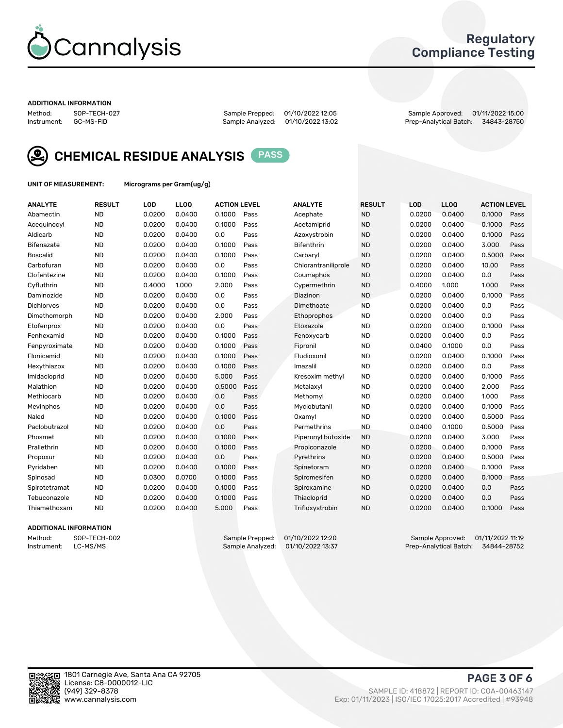

### Regulatory Compliance Testing

#### ADDITIONAL INFORMATION

Method: SOP-TECH-027 Sample Prepped: 01/10/2022 12:05 Sample Approved: 01/11/2022 15:00 Prep-Analytical Batch: 34843-28750



CHEMICAL RESIDUE ANALYSIS PASS

UNIT OF MEASUREMENT: Micrograms per Gram(ug/g)

| <b>ANALYTE</b>    | <b>RESULT</b> | LOD    | LL <sub>00</sub> | <b>ACTION LEVEL</b> |      | <b>ANALYTE</b>      | <b>RESULT</b> | LOD    | <b>LLOQ</b> | <b>ACTION LEVEL</b> |      |
|-------------------|---------------|--------|------------------|---------------------|------|---------------------|---------------|--------|-------------|---------------------|------|
| Abamectin         | <b>ND</b>     | 0.0200 | 0.0400           | 0.1000              | Pass | Acephate            | <b>ND</b>     | 0.0200 | 0.0400      | 0.1000              | Pass |
| Acequinocyl       | <b>ND</b>     | 0.0200 | 0.0400           | 0.1000              | Pass | Acetamiprid         | <b>ND</b>     | 0.0200 | 0.0400      | 0.1000              | Pass |
| Aldicarb          | <b>ND</b>     | 0.0200 | 0.0400           | 0.0                 | Pass | Azoxystrobin        | <b>ND</b>     | 0.0200 | 0.0400      | 0.1000              | Pass |
| <b>Bifenazate</b> | <b>ND</b>     | 0.0200 | 0.0400           | 0.1000              | Pass | Bifenthrin          | <b>ND</b>     | 0.0200 | 0.0400      | 3.000               | Pass |
| <b>Boscalid</b>   | <b>ND</b>     | 0.0200 | 0.0400           | 0.1000              | Pass | Carbarvl            | <b>ND</b>     | 0.0200 | 0.0400      | 0.5000              | Pass |
| Carbofuran        | <b>ND</b>     | 0.0200 | 0.0400           | 0.0                 | Pass | Chlorantraniliprole | <b>ND</b>     | 0.0200 | 0.0400      | 10.00               | Pass |
| Clofentezine      | <b>ND</b>     | 0.0200 | 0.0400           | 0.1000              | Pass | Coumaphos           | <b>ND</b>     | 0.0200 | 0.0400      | 0.0                 | Pass |
| Cyfluthrin        | <b>ND</b>     | 0.4000 | 1.000            | 2.000               | Pass | Cypermethrin        | <b>ND</b>     | 0.4000 | 1.000       | 1.000               | Pass |
| Daminozide        | <b>ND</b>     | 0.0200 | 0.0400           | 0.0                 | Pass | Diazinon            | <b>ND</b>     | 0.0200 | 0.0400      | 0.1000              | Pass |
| <b>Dichlorvos</b> | <b>ND</b>     | 0.0200 | 0.0400           | 0.0                 | Pass | Dimethoate          | <b>ND</b>     | 0.0200 | 0.0400      | 0.0                 | Pass |
| Dimethomorph      | <b>ND</b>     | 0.0200 | 0.0400           | 2.000               | Pass | Ethoprophos         | <b>ND</b>     | 0.0200 | 0.0400      | 0.0                 | Pass |
| Etofenprox        | <b>ND</b>     | 0.0200 | 0.0400           | 0.0                 | Pass | Etoxazole           | <b>ND</b>     | 0.0200 | 0.0400      | 0.1000              | Pass |
| Fenhexamid        | <b>ND</b>     | 0.0200 | 0.0400           | 0.1000              | Pass | Fenoxycarb          | <b>ND</b>     | 0.0200 | 0.0400      | 0.0                 | Pass |
| Fenpyroximate     | <b>ND</b>     | 0.0200 | 0.0400           | 0.1000              | Pass | Fipronil            | <b>ND</b>     | 0.0400 | 0.1000      | 0.0                 | Pass |
| Flonicamid        | <b>ND</b>     | 0.0200 | 0.0400           | 0.1000              | Pass | Fludioxonil         | <b>ND</b>     | 0.0200 | 0.0400      | 0.1000              | Pass |
| Hexythiazox       | <b>ND</b>     | 0.0200 | 0.0400           | 0.1000              | Pass | Imazalil            | <b>ND</b>     | 0.0200 | 0.0400      | 0.0                 | Pass |
| Imidacloprid      | <b>ND</b>     | 0.0200 | 0.0400           | 5.000               | Pass | Kresoxim methyl     | <b>ND</b>     | 0.0200 | 0.0400      | 0.1000              | Pass |
| Malathion         | <b>ND</b>     | 0.0200 | 0.0400           | 0.5000              | Pass | Metalaxyl           | <b>ND</b>     | 0.0200 | 0.0400      | 2.000               | Pass |
| Methiocarb        | <b>ND</b>     | 0.0200 | 0.0400           | 0.0                 | Pass | Methomyl            | <b>ND</b>     | 0.0200 | 0.0400      | 1.000               | Pass |
| Mevinphos         | <b>ND</b>     | 0.0200 | 0.0400           | 0.0                 | Pass | Myclobutanil        | <b>ND</b>     | 0.0200 | 0.0400      | 0.1000              | Pass |
| Naled             | <b>ND</b>     | 0.0200 | 0.0400           | 0.1000              | Pass | Oxamyl              | <b>ND</b>     | 0.0200 | 0.0400      | 0.5000              | Pass |
| Paclobutrazol     | <b>ND</b>     | 0.0200 | 0.0400           | 0.0                 | Pass | Permethrins         | <b>ND</b>     | 0.0400 | 0.1000      | 0.5000              | Pass |
| Phosmet           | <b>ND</b>     | 0.0200 | 0.0400           | 0.1000              | Pass | Piperonyl butoxide  | <b>ND</b>     | 0.0200 | 0.0400      | 3.000               | Pass |
| Prallethrin       | <b>ND</b>     | 0.0200 | 0.0400           | 0.1000              | Pass | Propiconazole       | <b>ND</b>     | 0.0200 | 0.0400      | 0.1000              | Pass |
| Propoxur          | <b>ND</b>     | 0.0200 | 0.0400           | 0.0                 | Pass | Pyrethrins          | <b>ND</b>     | 0.0200 | 0.0400      | 0.5000              | Pass |
| Pyridaben         | <b>ND</b>     | 0.0200 | 0.0400           | 0.1000              | Pass | Spinetoram          | <b>ND</b>     | 0.0200 | 0.0400      | 0.1000              | Pass |
| Spinosad          | <b>ND</b>     | 0.0300 | 0.0700           | 0.1000              | Pass | Spiromesifen        | <b>ND</b>     | 0.0200 | 0.0400      | 0.1000              | Pass |
| Spirotetramat     | <b>ND</b>     | 0.0200 | 0.0400           | 0.1000              | Pass | Spiroxamine         | <b>ND</b>     | 0.0200 | 0.0400      | 0.0                 | Pass |
| Tebuconazole      | <b>ND</b>     | 0.0200 | 0.0400           | 0.1000              | Pass | Thiacloprid         | <b>ND</b>     | 0.0200 | 0.0400      | 0.0                 | Pass |
| Thiamethoxam      | <b>ND</b>     | 0.0200 | 0.0400           | 5.000               | Pass | Trifloxystrobin     | <b>ND</b>     | 0.0200 | 0.0400      | 0.1000              | Pass |
|                   |               |        |                  |                     |      |                     |               |        |             |                     |      |

### ADDITIONAL INFORMATION

Method: SOP-TECH-002 Sample Prepped: 01/10/2022 12:20 Sample Approved: 01/11/2022 11:19<br>Instrument: LC-MS/MS Sample Analyzed: 01/10/2022 13:37 Prep-Analytical Batch: 34844-28752 Prep-Analytical Batch: 34844-28752

PAGE 3 OF 6

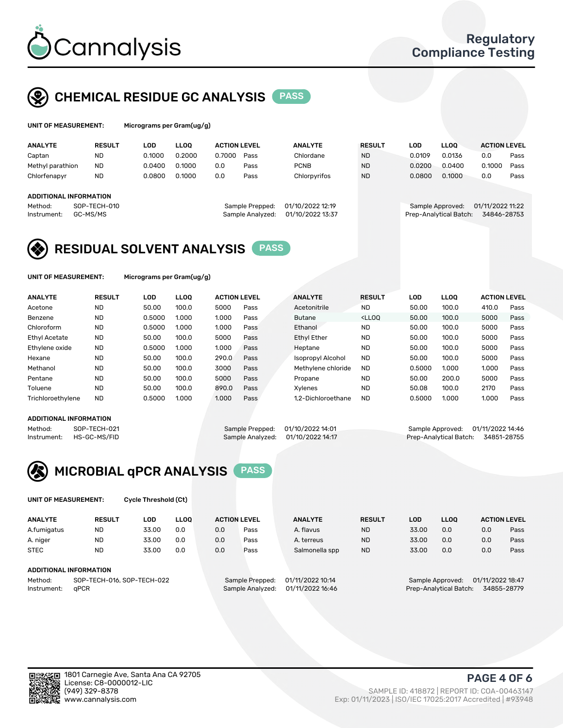

### CHEMICAL RESIDUE GC ANALYSIS PASS

| UNIT OF MEASUREMENT: | Micrograms per Gran |
|----------------------|---------------------|
|                      |                     |

n(ug/g)

| <b>ANALYTE</b>                    | <b>RESULT</b> | LOD    | <b>LLOO</b> | <b>ACTION LEVEL</b> |                  | <b>ANALYTE</b>   | <b>RESULT</b> | LOD    | <b>LLOO</b>            | <b>ACTION LEVEL</b> |      |
|-----------------------------------|---------------|--------|-------------|---------------------|------------------|------------------|---------------|--------|------------------------|---------------------|------|
| Captan                            | <b>ND</b>     | 0.1000 | 0.2000      | 0.7000              | Pass             | Chlordane        | <b>ND</b>     | 0.0109 | 0.0136                 | 0.0                 | Pass |
| Methyl parathion                  | <b>ND</b>     | 0.0400 | 0.1000      | 0.0                 | Pass             | <b>PCNB</b>      | <b>ND</b>     | 0.0200 | 0.0400                 | 0.1000              | Pass |
| Chlorfenapyr                      | <b>ND</b>     | 0.0800 | 0.1000      | 0.0                 | Pass             | Chlorpyrifos     | <b>ND</b>     | 0.0800 | 0.1000                 | 0.0                 | Pass |
| ADDITIONAL INFORMATION<br>Method: | SOP-TECH-010  |        |             |                     | Sample Prepped:  | 01/10/2022 12:19 |               |        | Sample Approved:       | 01/11/2022 11:22    |      |
| Instrument:                       | GC-MS/MS      |        |             |                     | Sample Analyzed: | 01/10/2022 13:37 |               |        | Prep-Analytical Batch: | 34846-28753         |      |

### RESIDUAL SOLVENT ANALYSIS PASS

UNIT OF MEASUREMENT: Micrograms per Gram(ug/g)

| <b>ANALYTE</b>       | <b>RESULT</b> | LOD    | <b>LLOO</b> | <b>ACTION LEVEL</b> |      | <b>ANALYTE</b>     | <b>RESULT</b>                                                               | LOD    | LLOO  | <b>ACTION LEVEL</b> |      |
|----------------------|---------------|--------|-------------|---------------------|------|--------------------|-----------------------------------------------------------------------------|--------|-------|---------------------|------|
| Acetone              | <b>ND</b>     | 50.00  | 100.0       | 5000                | Pass | Acetonitrile       | <b>ND</b>                                                                   | 50.00  | 100.0 | 410.0               | Pass |
| Benzene              | <b>ND</b>     | 0.5000 | 1.000       | 1.000               | Pass | <b>Butane</b>      | <lloo< td=""><td>50.00</td><td>100.0</td><td>5000</td><td>Pass</td></lloo<> | 50.00  | 100.0 | 5000                | Pass |
| Chloroform           | <b>ND</b>     | 0.5000 | 1.000       | 1.000               | Pass | Ethanol            | <b>ND</b>                                                                   | 50.00  | 100.0 | 5000                | Pass |
| <b>Ethyl Acetate</b> | <b>ND</b>     | 50.00  | 100.0       | 5000                | Pass | <b>Ethyl Ether</b> | <b>ND</b>                                                                   | 50.00  | 100.0 | 5000                | Pass |
| Ethylene oxide       | <b>ND</b>     | 0.5000 | 1.000       | 1.000               | Pass | Heptane            | <b>ND</b>                                                                   | 50.00  | 100.0 | 5000                | Pass |
| Hexane               | <b>ND</b>     | 50.00  | 100.0       | 290.0               | Pass | Isopropyl Alcohol  | <b>ND</b>                                                                   | 50.00  | 100.0 | 5000                | Pass |
| Methanol             | <b>ND</b>     | 50.00  | 100.0       | 3000                | Pass | Methylene chloride | <b>ND</b>                                                                   | 0.5000 | 1.000 | 1.000               | Pass |
| Pentane              | <b>ND</b>     | 50.00  | 100.0       | 5000                | Pass | Propane            | <b>ND</b>                                                                   | 50.00  | 200.0 | 5000                | Pass |
| Toluene              | <b>ND</b>     | 50.00  | 100.0       | 890.0               | Pass | Xvlenes            | <b>ND</b>                                                                   | 50.08  | 100.0 | 2170                | Pass |
| Trichloroethylene    | <b>ND</b>     | 0.5000 | 1.000       | 1.000               | Pass | 1.2-Dichloroethane | <b>ND</b>                                                                   | 0.5000 | 1.000 | 1.000               | Pass |

### ADDITIONAL INFORMATION

Method: SOP-TECH-021 Sample Prepped: 01/10/2022 14:01 Sample Approved: 01/11/2022 14:46<br>Instrument: HS-GC-MS/FID Sample Analyzed: 01/10/2022 14:17 Prep-Analytical Batch: 34851-28755 Prep-Analytical Batch: 34851-28755



UNIT OF MEASUREMENT: Cycle Threshold (Ct)

| <b>ANALYTE</b> | <b>RESULT</b>          | LOD                        | <b>LLOO</b> | <b>ACTION LEVEL</b> |                 | <b>ANALYTE</b>   | <b>RESULT</b> | LOD   | <b>LLOO</b>      |                  | <b>ACTION LEVEL</b> |
|----------------|------------------------|----------------------------|-------------|---------------------|-----------------|------------------|---------------|-------|------------------|------------------|---------------------|
| A.fumigatus    | <b>ND</b>              | 33.00                      | 0.0         | 0.0                 | Pass            | A. flavus        | <b>ND</b>     | 33.00 | 0.0              | 0.0              | Pass                |
| A. niger       | <b>ND</b>              | 33.00                      | 0.0         | 0.0                 | Pass            | A. terreus       | <b>ND</b>     | 33.00 | 0.0              | 0.0              | Pass                |
| <b>STEC</b>    | <b>ND</b>              | 33.00                      | 0.0         | 0.0                 | Pass            | Salmonella spp   | <b>ND</b>     | 33.00 | 0.0              | 0.0              | Pass                |
|                | ADDITIONAL INFORMATION |                            |             |                     |                 |                  |               |       |                  |                  |                     |
| Method:        |                        | SOP-TECH-016, SOP-TECH-022 |             |                     | Sample Prepped: | 01/11/2022 10:14 |               |       | Sample Approved: | 01/11/2022 18:47 |                     |

Instrument: gPCR<br>Instrument: gPCR Sample Analyzed: 01/11/2022 16:46 Prep-Analytical Batch: 34855-28779

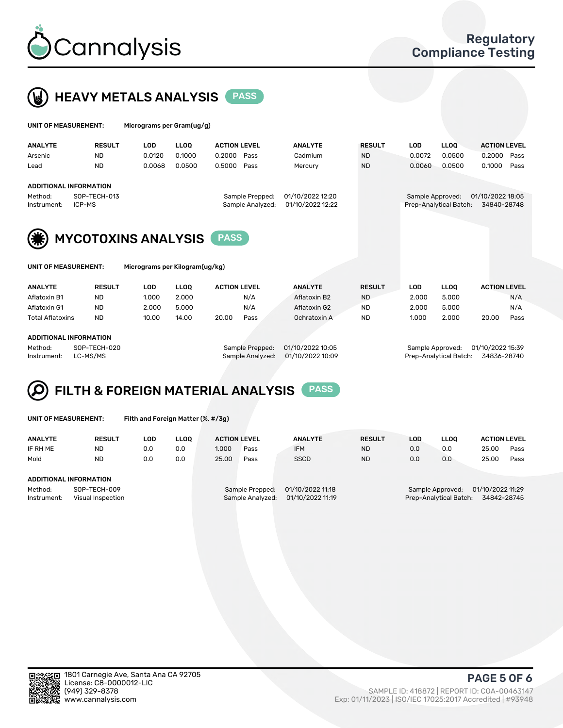



| UNIT OF MEASUREMENT:   |                                                  | Micrograms per Gram(ug/g) |             |                     |                                     |                                      |               |                  |                        |                                 |      |
|------------------------|--------------------------------------------------|---------------------------|-------------|---------------------|-------------------------------------|--------------------------------------|---------------|------------------|------------------------|---------------------------------|------|
| <b>ANALYTE</b>         | <b>RESULT</b>                                    | <b>LOD</b>                | <b>LLOO</b> | <b>ACTION LEVEL</b> |                                     | <b>ANALYTE</b>                       | <b>RESULT</b> | <b>LOD</b>       | <b>LLOO</b>            | <b>ACTION LEVEL</b>             |      |
| Arsenic                | <b>ND</b>                                        | 0.0120                    | 0.1000      | 0.2000              | Pass                                | Cadmium                              | <b>ND</b>     | 0.0072           | 0.0500                 | 0.2000                          | Pass |
| Lead                   | <b>ND</b>                                        | 0.0068                    | 0.0500      | 0.5000              | Pass                                | Mercury                              | <b>ND</b>     | 0.0060           | 0.0500                 | 0.1000                          | Pass |
| Method:<br>Instrument: | ADDITIONAL INFORMATION<br>SOP-TECH-013<br>ICP-MS |                           |             |                     | Sample Prepped:<br>Sample Analyzed: | 01/10/2022 12:20<br>01/10/2022 12:22 |               | Sample Approved: | Prep-Analytical Batch: | 01/10/2022 18:05<br>34840-28748 |      |
|                        | <b>MYCOTOXINS ANALYSIS</b>                       |                           |             | <b>PASS</b>         |                                     |                                      |               |                  |                        |                                 |      |

|  | UNIT OF MEASUREMENT: |  |
|--|----------------------|--|
|--|----------------------|--|

Micrograms per Kilogram(ug/kg)

| <b>ANALYTE</b>          | <b>RESULT</b> | LOD   | <b>LLOO</b> | <b>ACTION LEVEL</b> |      | <b>ANALYTE</b> | <b>RESULT</b> | LOD   | <b>LLOO</b> | <b>ACTION LEVEL</b> |      |
|-------------------------|---------------|-------|-------------|---------------------|------|----------------|---------------|-------|-------------|---------------------|------|
|                         | <b>ND</b>     | 1.000 | 2.000       |                     | N/A  | Aflatoxin B2   | <b>ND</b>     | 2.000 | 5.000       |                     | N/A  |
| Aflatoxin G1            | <b>ND</b>     | 2.000 | 5.000       |                     | N/A  | Aflatoxin G2   | <b>ND</b>     | 2.000 | 5.000       |                     | N/A  |
| <b>Total Aflatoxins</b> | <b>ND</b>     | 10.00 | 14.00       | 20.00               | Pass | Ochratoxin A   | <b>ND</b>     | 1.000 | 2.000       | 20.00               | Pass |
|                         |               |       |             |                     |      |                |               |       |             |                     |      |
| Aflatoxin B1            |               |       |             |                     |      |                |               |       |             |                     |      |

### ADDITIONAL INFORMATION

Method: SOP-TECH-020 Sample Prepped: 01/10/2022 10:05 Sample Approved: 01/10/2022 15:39 Instrument: LC-MS/MS Sample Analyzed: 01/10/2022 10:09 Prep-Analytical Batch: 34836-28740

# FILTH & FOREIGN MATERIAL ANALYSIS PASS

UNIT OF MEASUREMENT: Filth and Foreign Matter (%, #/3g)

| <b>ANALYTE</b>                | <b>RESULT</b>                     | LOD | <b>LLOO</b> | <b>ACTION LEVEL</b> |                                     | <b>ANALYTE</b>                       | <b>RESULT</b> | LOD | LLOO                                       | <b>ACTION LEVEL</b>             |      |
|-------------------------------|-----------------------------------|-----|-------------|---------------------|-------------------------------------|--------------------------------------|---------------|-----|--------------------------------------------|---------------------------------|------|
| IF RH ME                      | <b>ND</b>                         | 0.0 | 0.0         | 1.000               | Pass                                | <b>IFM</b>                           | <b>ND</b>     | 0.0 | 0.0                                        | 25.00                           | Pass |
| Mold                          | <b>ND</b>                         | 0.0 | 0.0         | 25.00               | Pass                                | <b>SSCD</b>                          | <b>ND</b>     | 0.0 | 0.0                                        | 25.00                           | Pass |
| <b>ADDITIONAL INFORMATION</b> |                                   |     |             |                     |                                     |                                      |               |     |                                            |                                 |      |
| Method:<br>Instrument:        | SOP-TECH-009<br>Visual Inspection |     |             |                     | Sample Prepped:<br>Sample Analyzed: | 01/10/2022 11:18<br>01/10/2022 11:19 |               |     | Sample Approved:<br>Prep-Analytical Batch: | 01/10/2022 11:29<br>34842-28745 |      |



(949) 329-8378 SAMPLE ID: 418872 | REPORT ID: COA-00463147 Exp: 01/11/2023 | ISO/IEC 17025:2017 Accredited | #93948